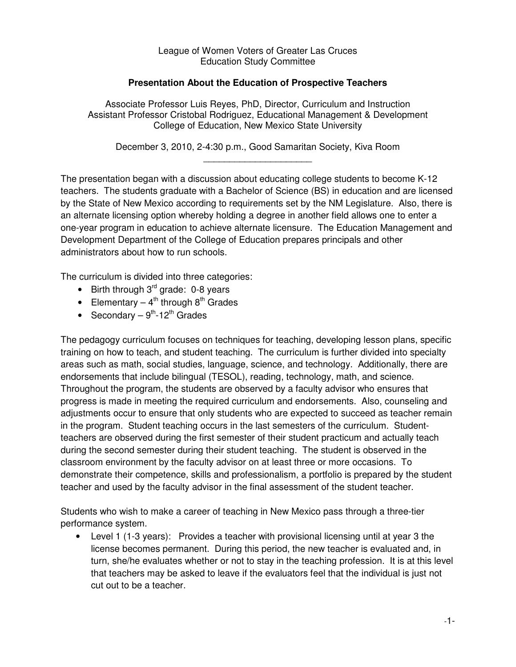League of Women Voters of Greater Las Cruces Education Study Committee

## **Presentation About the Education of Prospective Teachers**

Associate Professor Luis Reyes, PhD, Director, Curriculum and Instruction Assistant Professor Cristobal Rodriguez, Educational Management & Development College of Education, New Mexico State University

December 3, 2010, 2-4:30 p.m., Good Samaritan Society, Kiva Room \_\_\_\_\_\_\_\_\_\_\_\_\_\_\_\_\_\_\_\_\_

The presentation began with a discussion about educating college students to become K-12 teachers. The students graduate with a Bachelor of Science (BS) in education and are licensed by the State of New Mexico according to requirements set by the NM Legislature. Also, there is an alternate licensing option whereby holding a degree in another field allows one to enter a one-year program in education to achieve alternate licensure. The Education Management and Development Department of the College of Education prepares principals and other administrators about how to run schools.

The curriculum is divided into three categories:

- Birth through  $3<sup>rd</sup>$  grade: 0-8 years
- Elementary  $-4^{th}$  through  $8^{th}$  Grades
- Secondary  $-9^{th}$ -12<sup>th</sup> Grades

The pedagogy curriculum focuses on techniques for teaching, developing lesson plans, specific training on how to teach, and student teaching. The curriculum is further divided into specialty areas such as math, social studies, language, science, and technology. Additionally, there are endorsements that include bilingual (TESOL), reading, technology, math, and science. Throughout the program, the students are observed by a faculty advisor who ensures that progress is made in meeting the required curriculum and endorsements. Also, counseling and adjustments occur to ensure that only students who are expected to succeed as teacher remain in the program. Student teaching occurs in the last semesters of the curriculum. Studentteachers are observed during the first semester of their student practicum and actually teach during the second semester during their student teaching. The student is observed in the classroom environment by the faculty advisor on at least three or more occasions. To demonstrate their competence, skills and professionalism, a portfolio is prepared by the student teacher and used by the faculty advisor in the final assessment of the student teacher.

Students who wish to make a career of teaching in New Mexico pass through a three-tier performance system.

• Level 1 (1-3 years): Provides a teacher with provisional licensing until at year 3 the license becomes permanent. During this period, the new teacher is evaluated and, in turn, she/he evaluates whether or not to stay in the teaching profession. It is at this level that teachers may be asked to leave if the evaluators feel that the individual is just not cut out to be a teacher.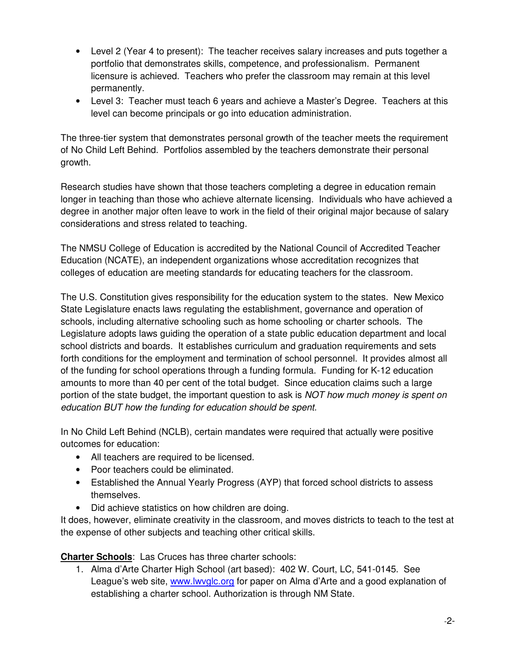- Level 2 (Year 4 to present): The teacher receives salary increases and puts together a portfolio that demonstrates skills, competence, and professionalism. Permanent licensure is achieved. Teachers who prefer the classroom may remain at this level permanently.
- Level 3: Teacher must teach 6 years and achieve a Master's Degree. Teachers at this level can become principals or go into education administration.

The three-tier system that demonstrates personal growth of the teacher meets the requirement of No Child Left Behind. Portfolios assembled by the teachers demonstrate their personal growth.

Research studies have shown that those teachers completing a degree in education remain longer in teaching than those who achieve alternate licensing. Individuals who have achieved a degree in another major often leave to work in the field of their original major because of salary considerations and stress related to teaching.

The NMSU College of Education is accredited by the National Council of Accredited Teacher Education (NCATE), an independent organizations whose accreditation recognizes that colleges of education are meeting standards for educating teachers for the classroom.

The U.S. Constitution gives responsibility for the education system to the states. New Mexico State Legislature enacts laws regulating the establishment, governance and operation of schools, including alternative schooling such as home schooling or charter schools. The Legislature adopts laws guiding the operation of a state public education department and local school districts and boards. It establishes curriculum and graduation requirements and sets forth conditions for the employment and termination of school personnel. It provides almost all of the funding for school operations through a funding formula. Funding for K-12 education amounts to more than 40 per cent of the total budget. Since education claims such a large portion of the state budget, the important question to ask is NOT how much money is spent on education BUT how the funding for education should be spent.

In No Child Left Behind (NCLB), certain mandates were required that actually were positive outcomes for education:

- All teachers are required to be licensed.
- Poor teachers could be eliminated.
- Established the Annual Yearly Progress (AYP) that forced school districts to assess themselves.
- Did achieve statistics on how children are doing.

It does, however, eliminate creativity in the classroom, and moves districts to teach to the test at the expense of other subjects and teaching other critical skills.

**Charter Schools**: Las Cruces has three charter schools:

1. Alma d'Arte Charter High School (art based): 402 W. Court, LC, 541-0145. See League's web site, www.lwvglc.org for paper on Alma d'Arte and a good explanation of establishing a charter school. Authorization is through NM State.